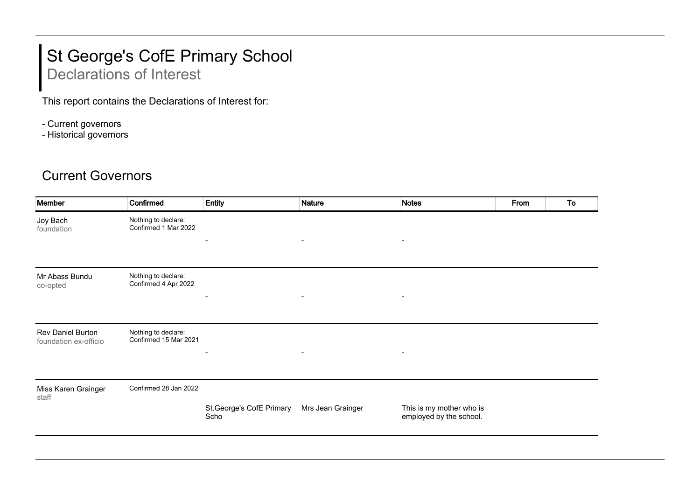## St George's CofE Primary School

## Declarations of Interest

This report contains the Declarations of Interest for:

- Current governors
- Historical governors

## Current Governors

| Member                                     | Confirmed                                    | Entity                           | <b>Nature</b>            | <b>Notes</b>                                        | From | To |
|--------------------------------------------|----------------------------------------------|----------------------------------|--------------------------|-----------------------------------------------------|------|----|
| Joy Bach<br>foundation                     | Nothing to declare:<br>Confirmed 1 Mar 2022  | $\overline{\phantom{a}}$         | $\overline{\phantom{a}}$ | $\overline{\phantom{a}}$                            |      |    |
| Mr Abass Bundu<br>co-opted                 | Nothing to declare:<br>Confirmed 4 Apr 2022  |                                  | $\overline{\phantom{a}}$ |                                                     |      |    |
| Rev Daniel Burton<br>foundation ex-officio | Nothing to declare:<br>Confirmed 15 Mar 2021 | $\blacksquare$                   | $\blacksquare$           | $\overline{\phantom{a}}$                            |      |    |
| Miss Karen Grainger<br>staff               | Confirmed 28 Jan 2022                        | St.George's CofE Primary<br>Scho | Mrs Jean Grainger        | This is my mother who is<br>employed by the school. |      |    |
|                                            |                                              |                                  |                          |                                                     |      |    |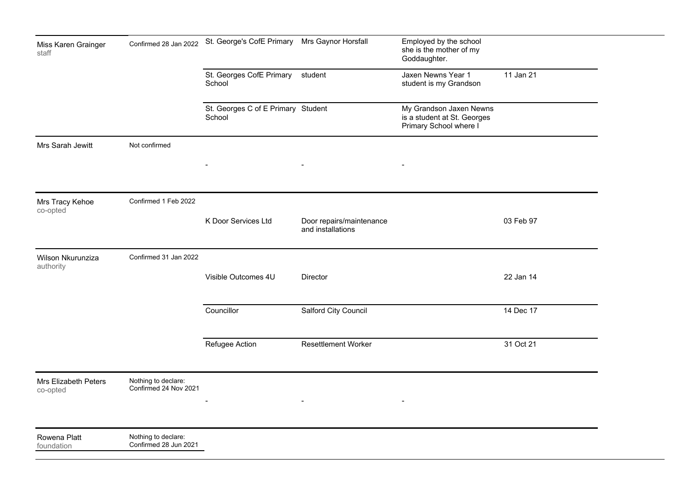| Miss Karen Grainger<br>staff     | Confirmed 28 Jan 2022                        | St. George's CofE Primary Mrs Gaynor Horsfall |                                               | Employed by the school<br>she is the mother of my<br>Goddaughter.                |           |  |
|----------------------------------|----------------------------------------------|-----------------------------------------------|-----------------------------------------------|----------------------------------------------------------------------------------|-----------|--|
|                                  |                                              | St. Georges CofE Primary<br>School            | student                                       | Jaxen Newns Year 1<br>student is my Grandson                                     | 11 Jan 21 |  |
|                                  |                                              | St. Georges C of E Primary Student<br>School  |                                               | My Grandson Jaxen Newns<br>is a student at St. Georges<br>Primary School where I |           |  |
| Mrs Sarah Jewitt                 | Not confirmed                                |                                               | $\blacksquare$                                | $\blacksquare$                                                                   |           |  |
| Mrs Tracy Kehoe<br>co-opted      | Confirmed 1 Feb 2022                         | K Door Services Ltd                           | Door repairs/maintenance<br>and installations |                                                                                  | 03 Feb 97 |  |
| Wilson Nkurunziza<br>authority   | Confirmed 31 Jan 2022                        | Visible Outcomes 4U                           | Director                                      |                                                                                  | 22 Jan 14 |  |
|                                  |                                              | Councillor                                    | Salford City Council                          |                                                                                  | 14 Dec 17 |  |
|                                  |                                              | Refugee Action                                | <b>Resettlement Worker</b>                    |                                                                                  | 31 Oct 21 |  |
| Mrs Elizabeth Peters<br>co-opted | Nothing to declare:<br>Confirmed 24 Nov 2021 |                                               |                                               |                                                                                  |           |  |
| Rowena Platt<br>foundation       | Nothing to declare:<br>Confirmed 28 Jun 2021 |                                               |                                               |                                                                                  |           |  |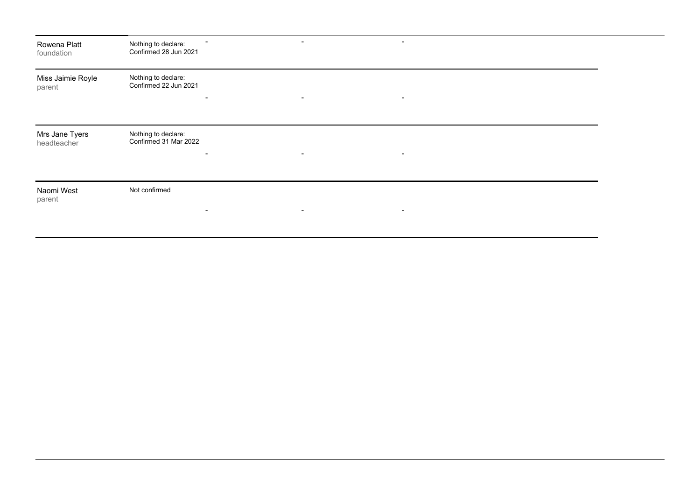| Rowena Platt<br>foundation    | Nothing to declare:<br>$\blacksquare$<br>Confirmed 28 Jun 2021 | $\overline{\phantom{a}}$ | $\,$           |  |
|-------------------------------|----------------------------------------------------------------|--------------------------|----------------|--|
| Miss Jaimie Royle<br>parent   | Nothing to declare:<br>Confirmed 22 Jun 2021<br>$\,$           | $\blacksquare$           | $\blacksquare$ |  |
| Mrs Jane Tyers<br>headteacher | Nothing to declare:<br>Confirmed 31 Mar 2022<br>$\blacksquare$ | $\overline{\phantom{a}}$ | $\blacksquare$ |  |
| Naomi West<br>parent          | Not confirmed<br>$\blacksquare$                                | $\sim$                   | $\blacksquare$ |  |